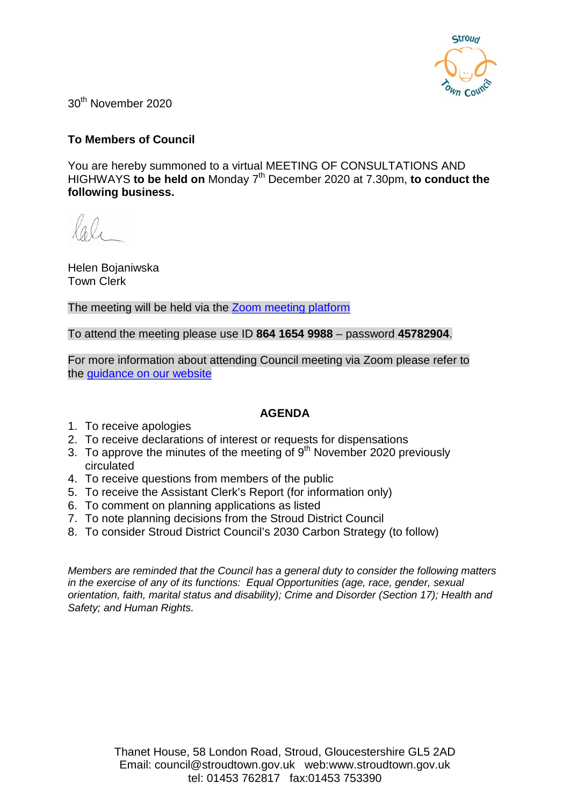

30th November 2020

### **To Members of Council**

You are hereby summoned to a virtual MEETING OF CONSULTATIONS AND HIGHWAYS **to be held on** Monday 7th December 2020 at 7.30pm, **to conduct the following business.**

Helen Bojaniwska Town Clerk

The meeting will be held via the **Zoom meeting platform** 

To attend the meeting please use ID **864 1654 9988** – password **45782904**.

For more information about attending Council meeting via Zoom please refer to the [guidance on our website](https://www.stroudtown.gov.uk/uploads/taking-part-in-an-stc-zoom-meeting-april-2020.pdf)

### **AGENDA**

- 1. To receive apologies
- 2. To receive declarations of interest or requests for dispensations
- 3. To approve the minutes of the meeting of  $9<sup>th</sup>$  November 2020 previously circulated
- 4. To receive questions from members of the public
- 5. To receive the Assistant Clerk's Report (for information only)
- 6. To comment on planning applications as listed
- 7. To note planning decisions from the Stroud District Council
- 8. To consider Stroud District Council's 2030 Carbon Strategy (to follow)

*Members are reminded that the Council has a general duty to consider the following matters in the exercise of any of its functions: Equal Opportunities (age, race, gender, sexual orientation, faith, marital status and disability); Crime and Disorder (Section 17); Health and Safety; and Human Rights.*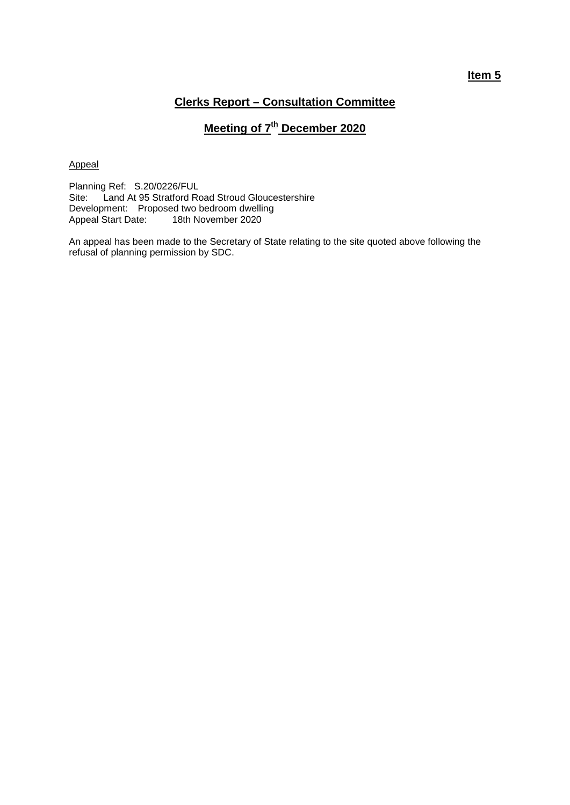### **Clerks Report – Consultation Committee**

# **Meeting of**  $7<sup>th</sup>$  **December 2020**

#### Appeal

Planning Ref: S.20/0226/FUL Site: Land At 95 Stratford Road Stroud Gloucestershire Development: Proposed two bedroom dwelling Appeal Start Date: 18th November 2020

An appeal has been made to the Secretary of State relating to the site quoted above following the refusal of planning permission by SDC.

### **Item 5**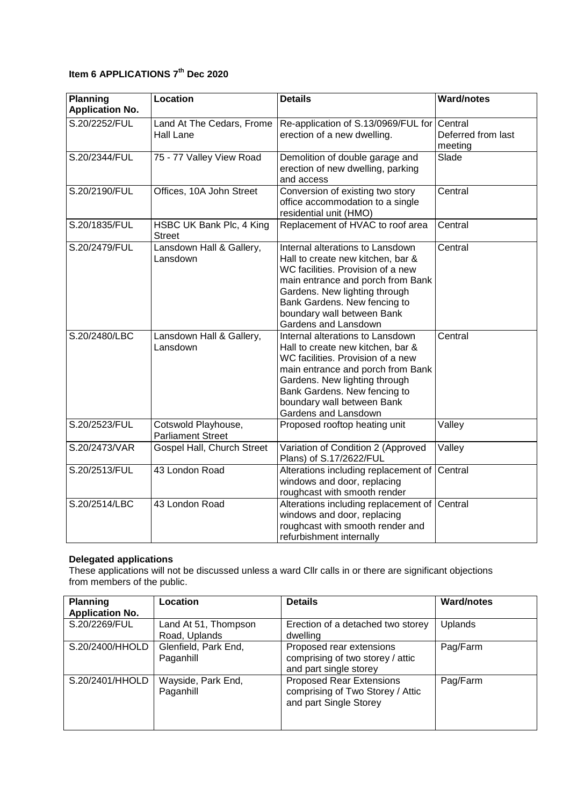## **Item 6 APPLICATIONS 7th Dec 2020**

| <b>Planning</b><br><b>Application No.</b> | Location                                        | <b>Details</b>                                                                                                                                                                                                                                                         | <b>Ward/notes</b>                        |
|-------------------------------------------|-------------------------------------------------|------------------------------------------------------------------------------------------------------------------------------------------------------------------------------------------------------------------------------------------------------------------------|------------------------------------------|
| S.20/2252/FUL                             | Land At The Cedars, Frome<br>Hall Lane          | Re-application of S.13/0969/FUL for<br>erection of a new dwelling.                                                                                                                                                                                                     | Central<br>Deferred from last<br>meeting |
| S.20/2344/FUL                             | 75 - 77 Valley View Road                        | Demolition of double garage and<br>erection of new dwelling, parking<br>and access                                                                                                                                                                                     | Slade                                    |
| S.20/2190/FUL                             | Offices, 10A John Street                        | Conversion of existing two story<br>office accommodation to a single<br>residential unit (HMO)                                                                                                                                                                         | Central                                  |
| S.20/1835/FUL                             | HSBC UK Bank Plc, 4 King<br><b>Street</b>       | Replacement of HVAC to roof area                                                                                                                                                                                                                                       | Central                                  |
| S.20/2479/FUL                             | Lansdown Hall & Gallery,<br>Lansdown            | Internal alterations to Lansdown<br>Hall to create new kitchen, bar &<br>WC facilities. Provision of a new<br>main entrance and porch from Bank<br>Gardens. New lighting through<br>Bank Gardens. New fencing to<br>boundary wall between Bank<br>Gardens and Lansdown | Central                                  |
| S.20/2480/LBC                             | Lansdown Hall & Gallery,<br>Lansdown            | Internal alterations to Lansdown<br>Hall to create new kitchen, bar &<br>WC facilities. Provision of a new<br>main entrance and porch from Bank<br>Gardens. New lighting through<br>Bank Gardens. New fencing to<br>boundary wall between Bank<br>Gardens and Lansdown | Central                                  |
| S.20/2523/FUL                             | Cotswold Playhouse,<br><b>Parliament Street</b> | Proposed rooftop heating unit                                                                                                                                                                                                                                          | Valley                                   |
| S.20/2473/VAR                             | Gospel Hall, Church Street                      | Variation of Condition 2 (Approved<br>Plans) of S.17/2622/FUL                                                                                                                                                                                                          | Valley                                   |
| S.20/2513/FUL                             | 43 London Road                                  | Alterations including replacement of<br>windows and door, replacing<br>roughcast with smooth render                                                                                                                                                                    | Central                                  |
| S.20/2514/LBC                             | 43 London Road                                  | Alterations including replacement of<br>windows and door, replacing<br>roughcast with smooth render and<br>refurbishment internally                                                                                                                                    | Central                                  |

#### **Delegated applications**

These applications will not be discussed unless a ward Cllr calls in or there are significant objections from members of the public.

| <b>Planning</b><br><b>Application No.</b> | Location                              | <b>Details</b>                                                                                | <b>Ward/notes</b> |
|-------------------------------------------|---------------------------------------|-----------------------------------------------------------------------------------------------|-------------------|
| S.20/2269/FUL                             | Land At 51, Thompson<br>Road, Uplands | Erection of a detached two storey<br>dwelling                                                 | <b>Uplands</b>    |
| S.20/2400/HHOLD                           | Glenfield, Park End,<br>Paganhill     | Proposed rear extensions<br>comprising of two storey / attic<br>and part single storey        | Pag/Farm          |
| S.20/2401/HHOLD                           | Wayside, Park End,<br>Paganhill       | <b>Proposed Rear Extensions</b><br>comprising of Two Storey / Attic<br>and part Single Storey | Pag/Farm          |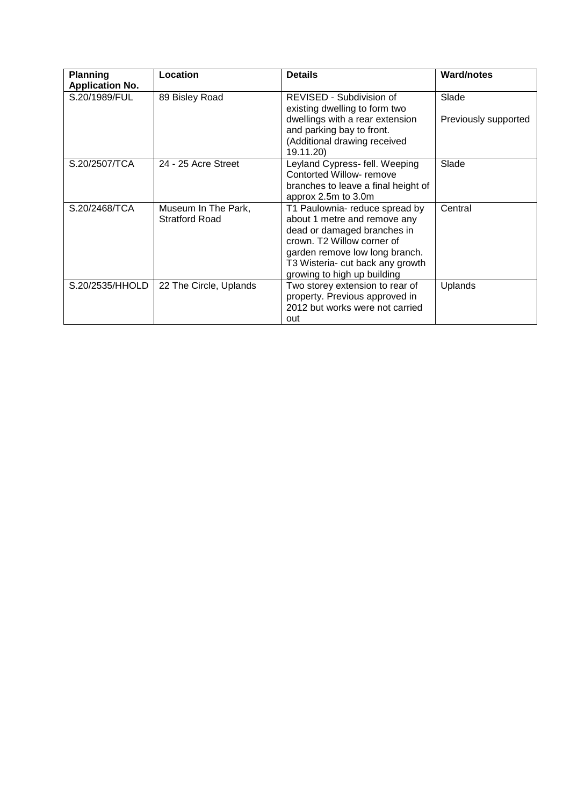| <b>Planning</b>        | Location               | <b>Details</b>                                               | <b>Ward/notes</b>    |
|------------------------|------------------------|--------------------------------------------------------------|----------------------|
| <b>Application No.</b> |                        |                                                              |                      |
| S.20/1989/FUL          | 89 Bisley Road         | REVISED - Subdivision of<br>existing dwelling to form two    | Slade                |
|                        |                        | dwellings with a rear extension<br>and parking bay to front. | Previously supported |
|                        |                        | (Additional drawing received<br>19.11.20)                    |                      |
| S.20/2507/TCA          | 24 - 25 Acre Street    | Leyland Cypress- fell. Weeping<br>Contorted Willow-remove    | Slade                |
|                        |                        |                                                              |                      |
|                        |                        | branches to leave a final height of                          |                      |
|                        |                        | approx 2.5m to 3.0m                                          |                      |
| S.20/2468/TCA          | Museum In The Park,    | T1 Paulownia- reduce spread by                               | Central              |
|                        | <b>Stratford Road</b>  | about 1 metre and remove any                                 |                      |
|                        |                        | dead or damaged branches in                                  |                      |
|                        |                        | crown. T2 Willow corner of                                   |                      |
|                        |                        | garden remove low long branch.                               |                      |
|                        |                        | T3 Wisteria- cut back any growth                             |                      |
|                        |                        | growing to high up building                                  |                      |
| S.20/2535/HHOLD        | 22 The Circle, Uplands | Two storey extension to rear of                              | <b>Uplands</b>       |
|                        |                        | property. Previous approved in                               |                      |
|                        |                        | 2012 but works were not carried                              |                      |
|                        |                        | out                                                          |                      |